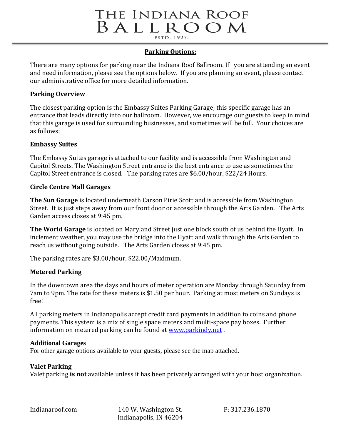# THE INDIANA ROOF BALLROOM ESTD. 1927.

## **Parking Options:**

There are many options for parking near the Indiana Roof Ballroom. If you are attending an event and need information, please see the options below. If you are planning an event, please contact our administrative office for more detailed information.

#### **Parking Overview**

The closest parking option is the Embassy Suites Parking Garage; this specific garage has an entrance that leads directly into our ballroom. However, we encourage our guests to keep in mind that this garage is used for surrounding businesses, and sometimes will be full. Your choices are as follows:

## **Embassy Suites**

The Embassy Suites garage is attached to our facility and is accessible from Washington and Capitol Streets. The Washington Street entrance is the best entrance to use as sometimes the Capitol Street entrance is closed. The parking rates are \$6.00/hour, \$22/24 Hours.

## **Circle Centre Mall Garages**

**The Sun Garage** is located underneath Carson Pirie Scott and is accessible from Washington Street. It is just steps away from our front door or accessible through the Arts Garden. The Arts Garden access closes at 9:45 pm.

**The World Garage** is located on Maryland Street just one block south of us behind the Hyatt. In inclement weather, you may use the bridge into the Hyatt and walk through the Arts Garden to reach us without going outside. The Arts Garden closes at 9:45 pm.

The parking rates are \$3.00/hour, \$22.00/Maximum.

# **Metered Parking**

In the downtown area the days and hours of meter operation are Monday through Saturday from 7am to 9pm. The rate for these meters is \$1.50 per hour. Parking at most meters on Sundays is free!

All parking meters in Indianapolis accept credit card payments in addition to coins and phone payments. This system is a mix of single space meters and multi-space pay boxes. Further information on metered parking can be found at [www.parkindy.net](http://www.parkindy.net/) .

#### **Additional Garages**

For other garage options available to your guests, please see the map attached.

# **Valet Parking**

Valet parking **is not** available unless it has been privately arranged with your host organization.

Indianaroof.com 140 W. Washington St. P: 317.236.1870 Indianapolis, IN 46204